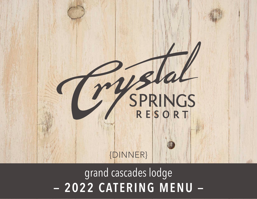# SPRINGS {DINNER}

- 2022 CATERING MENU grand cascades lodge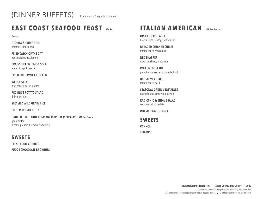

# **EAST COAST SEAFOOD FEAST \$54 Per**

**Person**

**OLD BAY SHRIMP BOIL** potatoes, chorizo, corn

**FRIED CATCH OF THE DAY** house tartar sauce, lemon

**CRAB-STUFFED LEMON SOLE** lemon & paprika sauce

**FRIED BUTTERMILK CHICKEN**

**WEDGE SALAD** blue cheese, bacon lardons

**RED BLISS POTATO SALAD** dill vinaigrette

**STEAMED WILD GRAIN RICE**

**BUTTERED BROCCOLINI**

**GRILLED HALF POINT PLEASANT LOBSTER {1 PER GUEST} \$12 Per Person** garlic butter {Chef to prepare & remove from shell}

#### **SWEETS**

**FRESH FRUIT COBBLER FUDGE CHOCOLATE BROWNIES**

# **ITALIAN AMERICAN** \$48 Per Person

**ORECCHIETTE PASTA** broccoli rabe, sausage, white bean

**BREADED CHICKEN CUTLET** tomato sauce, mozzarella

**RED SNAPPER** caper, artichoke, oreganata

**ROLLED EGGPLANT**  plum tomato sauce, mozzarella, basil

**BISTRO MEATBALLS** tomato sauce, basil

**SEASONAL GREEN VEGETABLES** toasted garlic, extra virgin olive oil

**RADICCHIO & ENDIVE SALAD** red onion, ricotta salata

**ROASTED GARLIC BREAD**

**SWEETS CANNOLI TIRAMISU**

> **TheCrystalSpringsResort.com | Sussex County, New Jersey | 2022** All menus are subject to change based on availablity and seasonality. Additional charge for substitutions and dietary requests may apply. Tax and service charges are not included.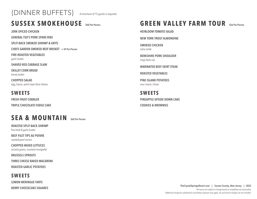# {DINNER BUFFETS} A minimum of 15 guests is required.

# **SUSSEX SMOKEHOUSE \$60 Per Person**

**JERK-SPICED CHICKEN**

**GENERAL TSO'S PORK SPARE RIBS**

**SPLIT-BACK SMOKED SHRIMP & GRITS**

**CHEFS GARDEN SMOKED BEEF BRISKET + \$9 Per Person**

**FIRE-ROASTED VEGETABLES** garlic butter

**SHAVED RED CABBAGE SLAW**

**SKILLET CORN BREAD** honey butter

**CHOPPED SALAD** egg, bacon, point reyes blue cheese

#### **SWEETS**

**FRESH FRUIT COBBLER TRIPLE CHOCOLATE FUDGE CAKE**

# **SEA & MOUNTAIN \$60 Per Person**

**ROASTED SPLIT-BACK SHRIMP**  fine herb & garlic butter

**BEEF FILET TIPS AU POIVRE**  roasted pearl onions

**CHOPPED MIXED LETTUCES**  ancient grains, mustard vinaigrette

**BRUSSELS SPROUTS**

**THREE CHEESE BAKED MACARONI**

**ROASTED GARLIC POTATOES**

#### **SWEETS**

**LEMON MERINGUE TARTS**

**BERRY CHEESECAKE SQUARES**

# **GREEN VALLEY FARM TOUR** \$56 Per Person

**HEIRLOOM TOMATO SALAD**

**NEW YORK TROUT ALMONDINE**

**SMOKED CHICKEN**  salsa verde

**BERKSHIRE PORK SHOULDER** mojo herb rub

**MARINATED BEEF SKIRT STEAK**

**ROASTED VEGETABLES**

**PINE ISLAND POTATOES**  sour cream, chives

**SWEETS PINEAPPLE UPSIDE DOWN CAKE COOKIES & BROWNIES**

> **TheCrystalSpringsResort.com | Sussex County, New Jersey | 2022** All menus are subject to change based on availablity and seasonality. Additional charge for substitutions and dietary requests may apply. Tax and service charges are not included.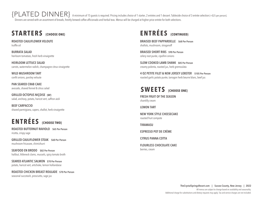$\{ {\sf PLATED}\ {\sf DINNER}\}$  A minimum of 15 guests is required. Pricing includes choice of 1 starter, 2 entrées and 1 dessert. Tableside choice of 3 entrée selection {+\$25 per person}. Dinners are served with an assortment of breads, freshly brewed coffee afficionado and herbal teas. Menus will be charged at higher price entrée for both selections.

# **STARTERS {CHOOSE ONE}**

**ROASTED CAULIFLOWER VELOUTE** truffle oil

**BURRATA SALAD**  heirloom tomatoes, fresh herb vinaigrette

**HEIRLOOM LETTUCE SALAD**  carrots, watermelon radish, champagne citrus vinaigrette

**WILD MUSHROOM TART** confit onions, parsley veloute

**PAN SEARED CRAB CAKE**  avocado, shaved fennel & citrus salad

**GRILLED OCTOPUS NIÇOISE {GF}** salad, anchovy, potato, haricot vert, saffron aioli

**BEEF CARPACCIO** shaved parmigiana, capers, shallot, herb vinaigrette

# **ENTRÉES {CHOOSE TWO}**

**ROASTED BUTTERNUT RAVIOLO \$65 Per Person** ricotta, crispy sage

**GRILLED CAULIFLOWER STEAK \$60 Per Person** mushroom fricassee, chimichurri

**SEAFOOD EN BRODO \$82 Per Person** halibut, littleneck clams, mussels, spicy tomato broth

**SEARED ATLANTIC SALMON \$70 Per Person** potato, haricot vert, artichoke, lemon hollandaise

**ROASTED CHICKEN BREAST ROULADE \$70 Per Person** seasonal succotash, prosciutto, sage jus

# **ENTRÉES {CONTINUED}**

**BRAISED BEEF PAPPARDELLE \$68 Per Person** shallots, mushroom, stroganoff

**BRAISED SHORT RIBS \$90 Per Person** celery root purée, cipollini onions

**SLOW COOKED LAMB SHANK \$85 Per Person** creamy polenta, roasted jus, herb gremoulata

**4 OZ PETITE FILET & NEW JERSEY LOBSTER \$105 Per Person** roasted garlic potato purée, tarragon herb beurre blanc, beef jus

# SWEETS **{CHOOSE ONE}**

**FRESH FRUIT OF THE SEASON** chantilly cream

**LEMON TART** 

**NEW YORK STYLE CHEESECAKE** roasted fruit compote

**TIRAMASU**

**ESPRESSO POT DE CRÈME**

**CITRUS PANNA COTTA**

**FLOURLESS CHOCOLATE CAKE** berries, cream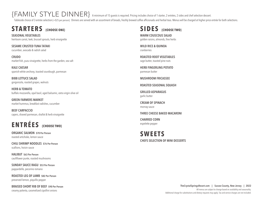# {FAMILY STYLE DINNER} A minimum of 15 guests is required. Pricing includes choice of 1 starter, 2 entrées, 2 sides and chef selection dessert.

Tableside choice of 3 entrée selection {+\$25 per person}. Dinners are served with an assortment of breads, freshly brewed coffee afficionado and herbal teas. Menus will be charged at higher price entrée for both selections

# **STARTERS {CHOOSE ONE}**

**SEASONAL VEGETABLES** heirloom carrot, leek, brussel sprouts, herb vinaigrette

**SESAME CRUSTED TUNA TATAKI** cucumber, avocado & radish salad

**CRUDO** market fish, yuzu vinaigrette, herbs from the garden, sea salt

**KALE CAESAR** spanish white anchovy, toasted sourdough, parmesan

**BIBB LETTUCE SALAD** gorgonzola, roasted grapes, walnuts

**HERB & TOMATO** buffalo mozzarella, opal basil, aged balsamic, extra virgin olive oil

**GREEN FARMERS MARKET** market hummus, breakfast radishes, cucumber

**BEEF CARPACCIO** capers, shaved parmesan, shallot & herb vinaigrette

# **ENTRÉES {CHOOSE TWO}**

**ORGANIC SALMON \$70 Per Person** roasted artichoke, lemon sauce

**CHILI SHRIMP NOODLES \$76 Per Person** scallions, hoisin sauce

**HALIBUT \$63 Per Person** cauliflower purée, roasted mushrooms

**SUNDAY SAUCE RAGU \$53 Per Person** pappardelle, pecorino romano

**ROASTED LEG OF LAMB \$82 Per Person** preserved lemon, piquillo pepper

**BRAISED SHORT RIB OF BEEF \$90 Per Person** creamy polenta, caramelized cipollini onions

#### **SIDES {CHOOSE TWO}**

**WARM COUSCOUS SALAD** golden raisins, almonds, fine herbs

**WILD RICE & QUINOA** cranberries

**ROASTED ROOT VEGETABLES** sage butter, toasted pine nuts

**HERB FINGERLING POTATO** parmesan butter

**MUSHROOM FRICASSEE**

**ROASTED SEASONAL SQUASH**

**GRILLED ASPARAGUS** garlic butter

**CREAM OF SPINACH** mornay sauce

**THREE CHEESE BAKED MACARONI**

**CHARRED CORN** espelette pepper

**SWEETS CHEFS SELECTION OF MINI DESSERTS**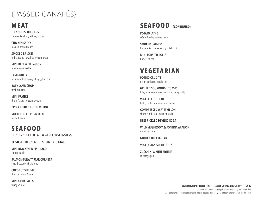# {PASSED CANAP ÉS}

### **MEAT**

**TINY CHEESEBURGERS** smoked ketchup, lettuce, pickle

**CHICKEN SATAY** roasted peanut sauce

**SMOKED BRISKET** red cabbage slaw, buttery cornbread

**MINI BEEF WELLINGTON** mushroom duxelle

**LAMB KOFTA** preserved lemon yogurt, eggplant chip

**BABY LAMB CHOP** fresh oregano

**MINI FRANKS** dijon, flakey croissant dough

#### **PROSCIUTTO & FRESH MELON**

**MOJO PULLED PORK TACO** pickled shallot

# **SEAFOOD**

**FRESHLY SHUCKED EAST & WEST COAST OYSTERS**

**BLISTERED RED SCARLET SHRIMP COCKTAIL**

**MINI BLACKENED FISH TACO** chipotle aioli

**SALMON-TUNA TARTAR CORNETS** yuzu & sesame vinaigrette

**COCONUT SHRIMP** thai chili sweet & sour

**MINI CRAB CAKES** tarragon aioli

# **SEAFOOD {CONTINUED}**

**POTATO LATKE** crème fra Îche, osettra caviar

**SMOKED SALMON** horseradish crème, crispy potato chip

**MINI LOBSTER ROLLS** butter, chives

# **VEGETARIAN**

**POTTED CRUDITÉ** green goddess, edible soil

**GRILLED SOURDOUGH TOASTS** brie, rosemary honey, fresh blackberry or fig

**VEGETABLE QUICHE** leeks, confit potatoes, goat cheese

**COMPRESSED WATERMELON** sheep's milk feta, micro arugula

**BEET-PICKLED DEVILED EGGS**

**WILD MUSHROOM & FONTINA ARANCINI** romesco sauce

**GOLDEN BEET TARTAR**

**VEGETARIAN SUSHI ROLLS**

**ZUCCHINI & MINT FRITTER** za'atar yogurt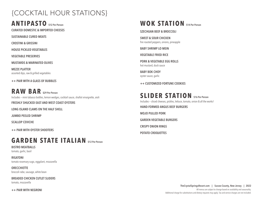# {COCKTAIL HOUR STATIONS}

**ANTIPASTO \$12 Per Person**

**CURATED DOMESTIC & IMPORTED CHEESES**

**SUSTAINABLE CURED MEATS**

**CROSTINI & GRISSINI**

**HOUSE PICKLED VEGETABLES**

**VEGETABLE PRESERVES**

**MUSTARDS & MARINATED OLIVES**

**MEZZE PLATTER** assorted dips, raw & grilled vegetables

**++ PAIR WITH A GLASS OF BUBBLES**

**RAW BAR \$29 Per Person** Includes — mini tabasco bottles, lemon wedges, cocktail sauce, shallot vinaigrette, aioli **FRESHLY SHUCKED EAST AND WEST COAST OYSTERS**

**LONG ISLAND CLAMS ON THE HALF SHELL**

**JUMBO PEELED SHRIMP**

**SCALLOP CEVICHE**

**++ PAIR WITH OYSTER SHOOTERS**

# **GARDEN STATE ITALIAN \$12 Per Person**

**BISTRO MEATBALLS** tomato, garlic, basil

**RIGATONI** tomato rosemary sugo, eggplant, mozzarella

**ORECCHIETTE**  broccoli rabe, sausage, white bean

**BREADED CHICKEN CUTLET SLIDERS** tomato, mozzarella

**++ PAIR WITH NEGRONI**

# **WOK STATION \$14 Per Person**

**SZECHUAN BEEF & BROCCOLI**

**SWEET & SOUR CHICKEN** fire roasted peppers, onions, pineapple

**BABY SHRIMP LO MEIN**

**VEGETABLE FRIED RICE**

**PORK & VEGETABLE EGG ROLLS** hot mustard, duck sauce

**BABY BOK CHOY**  oyster sauce, garlic

**++ CUSTOMIZED FORTUNE COOKIES**

**SLIDER STATION \$16 Per Person** Includes — sliced cheeses, pickles, lettuce, tomato, onion & all the works! **HAND-FORMED ANGUS BEEF BURGERS MOJO PULLED PORK GARDEN VEGETABLE BURGERS CRISPY ONION RINGS POTATO CROQUETTES**